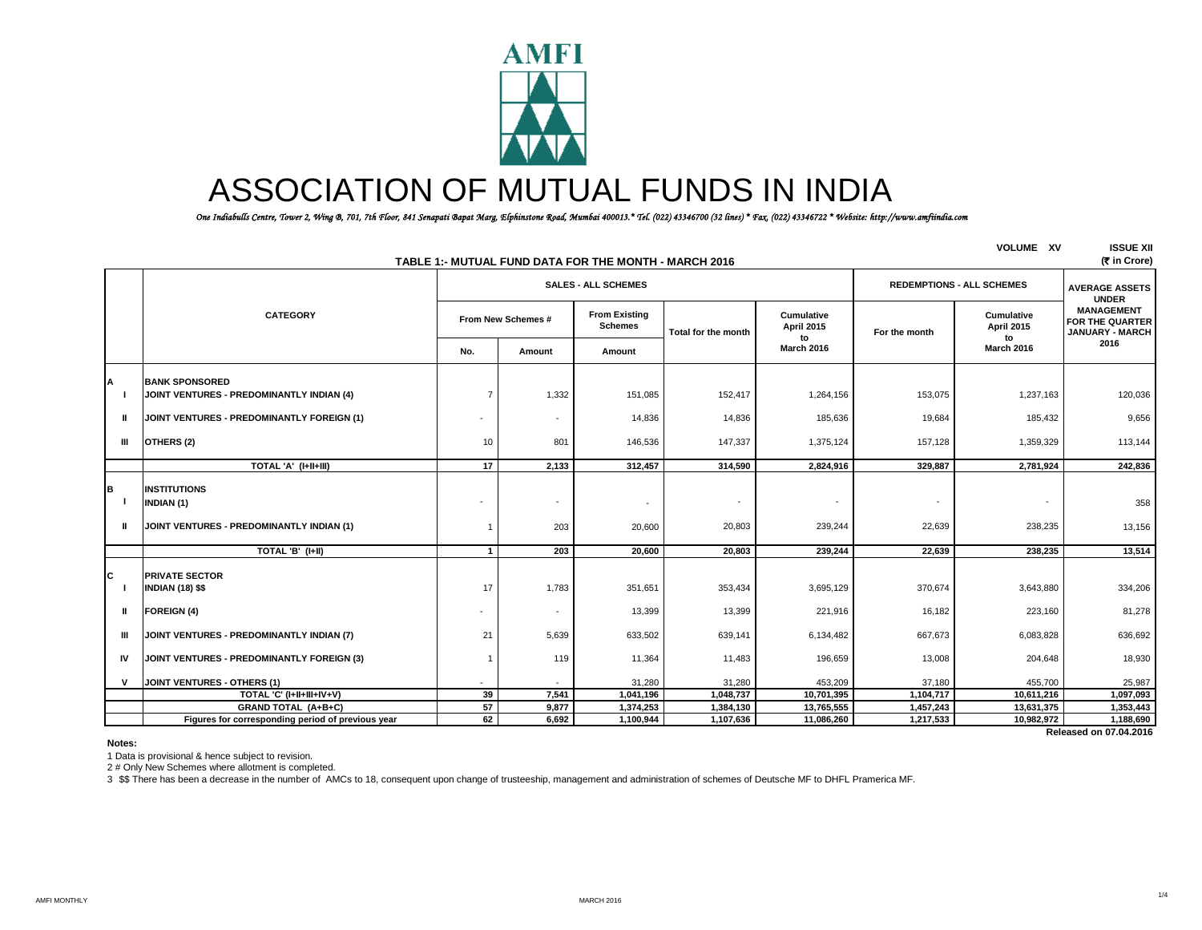

# ASSOCIATION OF MUTUAL FUNDS IN INDIA

 *One Indiabulls Centre, Tower 2, Wing B, 701, 7th Floor, 841 Senapati Bapat Marg, Elphinstone Road, Mumbai 400013.\* Tel. (022) 43346700 (32 lines) \* Fax. (022) 43346722 \* Website: http://www.amfiindia.com*

| <b>VOLUME XV</b><br><b>ISSUE XII</b><br>TABLE 1:- MUTUAL FUND DATA FOR THE MONTH - MARCH 2016<br>(₹ in Crore) |                                                                                       |                          |                                 |                                        |                     |                                       |               |                                     |                                                                                |  |
|---------------------------------------------------------------------------------------------------------------|---------------------------------------------------------------------------------------|--------------------------|---------------------------------|----------------------------------------|---------------------|---------------------------------------|---------------|-------------------------------------|--------------------------------------------------------------------------------|--|
|                                                                                                               |                                                                                       |                          | <b>SALES - ALL SCHEMES</b>      |                                        |                     |                                       |               | <b>REDEMPTIONS - ALL SCHEMES</b>    |                                                                                |  |
|                                                                                                               | <b>CATEGORY</b>                                                                       | From New Schemes #       |                                 | <b>From Existing</b><br><b>Schemes</b> | Total for the month | <b>Cumulative</b><br>April 2015<br>to | For the month | Cumulative<br>April 2015<br>to      | <b>UNDER</b><br><b>MANAGEMENT</b><br>FOR THE QUARTER<br><b>JANUARY - MARCH</b> |  |
|                                                                                                               |                                                                                       | No.                      | Amount                          | Amount                                 |                     | <b>March 2016</b>                     |               | <b>March 2016</b>                   | 2016                                                                           |  |
| A                                                                                                             | <b>BANK SPONSORED</b><br>JOINT VENTURES - PREDOMINANTLY INDIAN (4)                    | $\overline{7}$           | 1,332                           | 151,085                                | 152,417             | 1,264,156                             | 153,075       | 1,237,163                           | 120,036                                                                        |  |
| Ш                                                                                                             | JOINT VENTURES - PREDOMINANTLY FOREIGN (1)                                            |                          | $\overline{\phantom{a}}$        | 14,836                                 | 14,836              | 185,636                               | 19,684        | 185,432                             | 9,656                                                                          |  |
| $\mathbf{H}$                                                                                                  | OTHERS (2)                                                                            | 10                       | 801                             | 146,536                                | 147,337             | 1,375,124                             | 157,128       | 1,359,329                           | 113,144                                                                        |  |
|                                                                                                               | TOTAL 'A' (I+II+III)                                                                  | $\overline{17}$          | 2,133                           | 312,457                                | 314,590             | 2,824,916                             | 329,887       | 2,781,924                           | 242,836                                                                        |  |
| в<br>Ш                                                                                                        | <b>INSTITUTIONS</b><br><b>INDIAN (1)</b><br>JOINT VENTURES - PREDOMINANTLY INDIAN (1) | 1                        | $\overline{\phantom{a}}$<br>203 | $\overline{\phantom{a}}$<br>20,600     | 20,803              | $\overline{\phantom{a}}$<br>239,244   | 22,639        | $\overline{\phantom{a}}$<br>238,235 | 358<br>13,156                                                                  |  |
|                                                                                                               | TOTAL 'B' (I+II)                                                                      | $\mathbf{1}$             | 203                             | 20,600                                 | 20,803              | 239,244                               | 22,639        | 238,235                             | 13,514                                                                         |  |
| c                                                                                                             | <b>PRIVATE SECTOR</b><br><b>INDIAN (18) \$\$</b>                                      | 17                       | 1,783                           | 351,651                                | 353,434             | 3,695,129                             | 370,674       | 3,643,880                           | 334,206                                                                        |  |
| Ш                                                                                                             | <b>FOREIGN (4)</b>                                                                    | $\overline{\phantom{a}}$ | $\overline{\phantom{a}}$        | 13,399                                 | 13,399              | 221,916                               | 16,182        | 223,160                             | 81,278                                                                         |  |
| Ш                                                                                                             | JOINT VENTURES - PREDOMINANTLY INDIAN (7)                                             | 21                       | 5,639                           | 633,502                                | 639,141             | 6,134,482                             | 667,673       | 6,083,828                           | 636,692                                                                        |  |
| IV                                                                                                            | JOINT VENTURES - PREDOMINANTLY FOREIGN (3)                                            | 1                        | 119                             | 11,364                                 | 11,483              | 196,659                               | 13,008        | 204,648                             | 18,930                                                                         |  |
| v                                                                                                             | JOINT VENTURES - OTHERS (1)                                                           | $\sim$                   | $\sim$                          | 31,280                                 | 31,280              | 453.209                               | 37,180        | 455,700                             | 25,987                                                                         |  |
|                                                                                                               | TOTAL 'C' (I+II+III+IV+V)                                                             | 39                       | 7,541                           | 1,041,196                              | 1,048,737           | 10,701,395                            | 1,104,717     | 10,611,216                          | 1,097,093                                                                      |  |
|                                                                                                               | GRAND TOTAL (A+B+C)                                                                   | 57                       | 9,877                           | 1,374,253                              | 1,384,130           | 13,765,555                            | 1,457,243     | 13,631,375                          | 1,353,443                                                                      |  |
|                                                                                                               | Figures for corresponding period of previous year                                     | 62                       | 6,692                           | 1,100,944                              | 1,107,636           | 11,086,260                            | 1,217,533     | 10,982,972                          | 1,188,690                                                                      |  |
|                                                                                                               | Released on 07.04.2016                                                                |                          |                                 |                                        |                     |                                       |               |                                     |                                                                                |  |

**Notes:**

1 Data is provisional & hence subject to revision.

2 # Only New Schemes where allotment is completed.

3 \$\$ There has been a decrease in the number of AMCs to 18, consequent upon change of trusteeship, management and administration of schemes of Deutsche MF to DHFL Pramerica MF.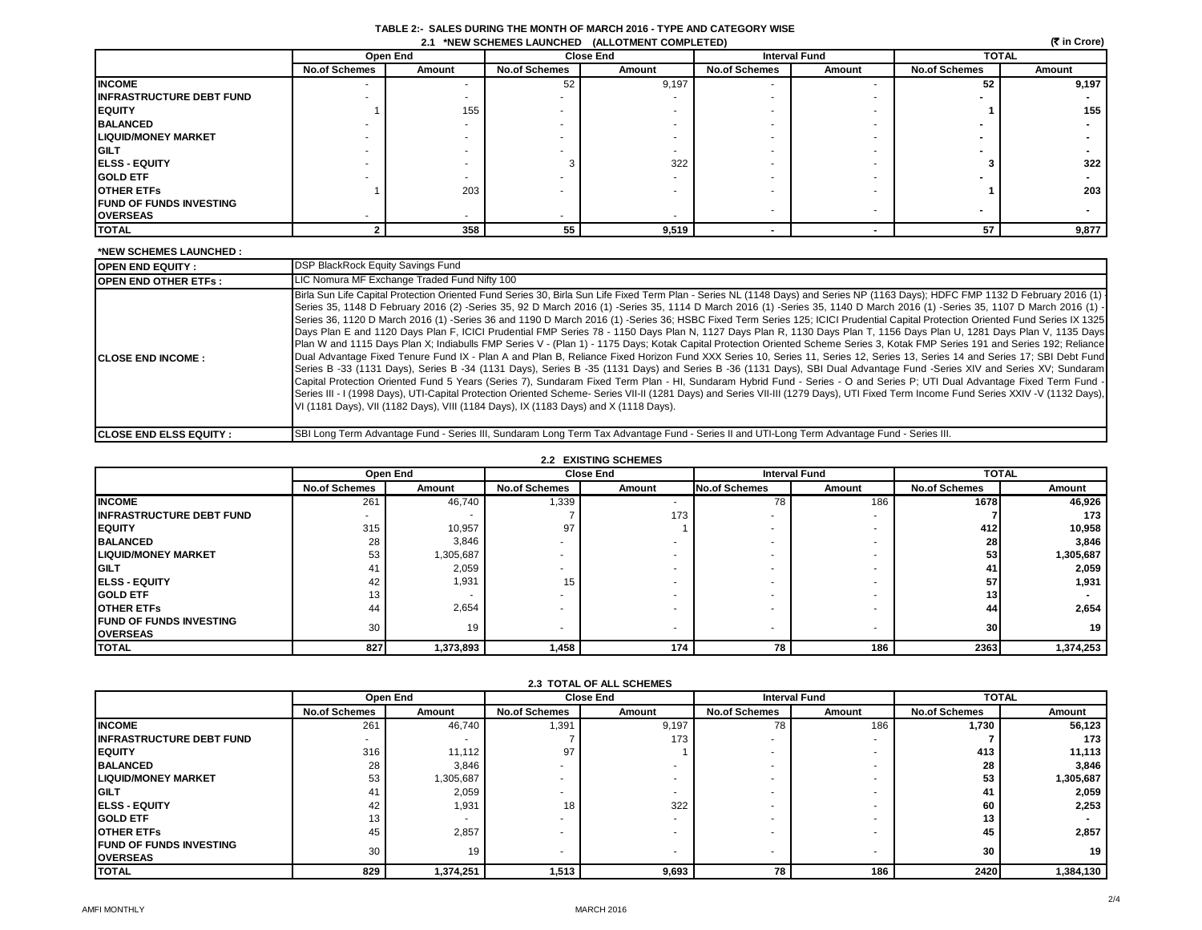| TABLE 2:- SALES DURING THE MONTH OF MARCH 2016 - TYPE AND CATEGORY WISE |  |
|-------------------------------------------------------------------------|--|
| 2.1 *NEW SCHEMES LAUNCHED (ALLOTMENT COMPLETED)                         |  |

| (रैं in Crore)<br>2.1 *NEW SCHEMES LAUNCHED (ALLOTMENT COMPLETED) |                      |          |                      |                  |                      |                          |                      |                          |  |
|-------------------------------------------------------------------|----------------------|----------|----------------------|------------------|----------------------|--------------------------|----------------------|--------------------------|--|
|                                                                   |                      | Open End |                      | <b>Close End</b> |                      | <b>Interval Fund</b>     | <b>TOTAL</b>         |                          |  |
|                                                                   | <b>No.of Schemes</b> | Amount   | <b>No.of Schemes</b> | Amount           | <b>No.of Schemes</b> | Amount                   | <b>No.of Schemes</b> | Amount                   |  |
| <b>INCOME</b>                                                     |                      |          | 52                   | 9,197            |                      |                          | 52                   | 9,197                    |  |
| <b>INFRASTRUCTURE DEBT FUND</b>                                   |                      |          |                      |                  |                      |                          |                      |                          |  |
| <b>EQUITY</b>                                                     |                      | 155      |                      |                  |                      |                          |                      | 155                      |  |
| <b>BALANCED</b>                                                   |                      |          |                      |                  |                      |                          |                      |                          |  |
| <b>LIQUID/MONEY MARKET</b>                                        |                      |          |                      |                  |                      |                          |                      |                          |  |
| <b>GILT</b>                                                       |                      |          |                      |                  |                      |                          |                      |                          |  |
| <b>IELSS - EQUITY</b>                                             |                      |          |                      | 322              |                      |                          |                      | 322                      |  |
| <b>GOLD ETF</b>                                                   |                      |          |                      |                  |                      |                          |                      |                          |  |
| <b>OTHER ETFS</b>                                                 |                      | 203      |                      |                  |                      |                          |                      | 203                      |  |
| <b>FUND OF FUNDS INVESTING</b>                                    |                      |          |                      |                  |                      |                          |                      | $\overline{\phantom{a}}$ |  |
| <b>OVERSEAS</b>                                                   |                      |          |                      |                  |                      | $\overline{\phantom{a}}$ |                      |                          |  |
| <b>TOTAL</b>                                                      |                      | 358      | 55                   | 9,519            |                      |                          | 57                   | 9,877                    |  |

#### **\*NEW SCHEMES LAUNCHED : OPEN END EQUITY : OPEN END OTHER ETFs : CLOSE END INCOME : CLOSE END ELSS EQUITY :** SBI Long Term Advantage Fund - Series III, Sundaram Long Term Tax Advantage Fund - Series II and UTI-Long Term Advantage Fund - Series III. LIC Nomura MF Exchange Traded Fund Nifty 100 Birla Sun Life Capital Protection Oriented Fund Series 30, Birla Sun Life Fixed Term Plan - Series NL (1148 Days) and Series NP (1163 Days); HDFC FMP 1132 D February 2016 (1) Series 35, 1148 D February 2016 (2) -Series 35, 92 D March 2016 (1) -Series 35, 1114 D March 2016 (1) -Series 35, 1140 D March 2016 (1) -Series 35, 1107 D March 2016 (1) - Series 36, 1120 D March 2016 (1) -Series 36 and 1190 D March 2016 (1) -Series 36; HSBC Fixed Term Series 125; ICICI Prudential Capital Protection Oriented Fund Series IX 1325 Days Plan E and 1120 Days Plan F, ICICI Prudential FMP Series 78 - 1150 Days Plan N, 1127 Days Plan R, 1130 Days Plan T, 1156 Days Plan U, 1281 Days Plan V, 1135 Days Plan W and 1115 Days Plan X; Indiabulls FMP Series V - (Plan 1) - 1175 Days; Kotak Capital Protection Oriented Scheme Series 3, Kotak FMP Series 191 and Series 192; Reliance Dual Advantage Fixed Tenure Fund IX - Plan A and Plan B, Reliance Fixed Horizon Fund XXX Series 10, Series 11, Series 12, Series 13, Series 14 and Series 17; SBI Debt Fund Series B -33 (1131 Days), Series B -34 (1131 Days), Series B -35 (1131 Days) and Series B -36 (1131 Days), SBI Dual Advantage Fund -Series XIV and Series XV; Sundaram Capital Protection Oriented Fund 5 Years (Series 7), Sundaram Fixed Term Plan - HI, Sundaram Hybrid Fund - Series - O and Series P; UTI Dual Advantage Fixed Term Fund -Series III - I (1998 Days), UTI-Capital Protection Oriented Scheme- Series VII-II (1281 Days) and Series VII-III (1279 Days), UTI Fixed Term Income Fund Series XXIV - V (1132 Days), VI (1181 Days), VII (1182 Days), VIII (1184 Days), IX (1183 Days) and X (1118 Days). DSP BlackRock Equity Savings Fund

|                                 | <b>2.2 EXISTING SCHEMES</b><br>Open End<br><b>Close End</b> |           |                      |        | <b>Interval Fund</b><br><b>TOTAL</b> |                          |                      |           |
|---------------------------------|-------------------------------------------------------------|-----------|----------------------|--------|--------------------------------------|--------------------------|----------------------|-----------|
|                                 |                                                             |           |                      |        |                                      |                          |                      |           |
|                                 | <b>No.of Schemes</b>                                        | Amount    | <b>No.of Schemes</b> | Amount | <b>No.of Schemes</b>                 | Amount                   | <b>No.of Schemes</b> | Amount    |
| <b>INCOME</b>                   | 261                                                         | 46,740    | 1,339                |        | 78                                   | 186                      | 1678                 | 46,926    |
| <b>INFRASTRUCTURE DEBT FUND</b> |                                                             |           |                      | 173    |                                      | $\overline{\phantom{a}}$ |                      | 173       |
| <b>IEQUITY</b>                  | 315                                                         | 10,957    | 97                   |        |                                      |                          | 412                  | 10,958    |
| <b>BALANCED</b>                 | 28                                                          | 3,846     |                      |        |                                      |                          | 28                   | 3,846     |
| <b>LIQUID/MONEY MARKET</b>      | 53                                                          | 1,305,687 |                      |        |                                      |                          | 53                   | 1,305,687 |
| <b>GILT</b>                     | $4^{\circ}$                                                 | 2,059     |                      |        |                                      |                          | 41.                  | 2,059     |
| <b>ELSS - EQUITY</b>            | -42                                                         | 1,931     | 15                   |        |                                      |                          | 57                   | 1,931     |
| <b>GOLD ETF</b>                 |                                                             |           |                      |        |                                      |                          | 13 <sub>1</sub>      |           |
| <b>OTHER ETFS</b>               | 44                                                          | 2,654     |                      |        |                                      |                          | 44                   | 2,654     |
| <b>FUND OF FUNDS INVESTING</b>  | 30                                                          | 19        |                      |        |                                      |                          | 30 <sup>l</sup>      | 19        |
| <b>OVERSEAS</b>                 |                                                             |           |                      |        |                                      | $\overline{\phantom{a}}$ |                      |           |
| <b>TOTAL</b>                    | 827                                                         | 1,373,893 | 1,458                | 174    | 78                                   | 186                      | 2363                 | 1,374,253 |

| <b>2.3 TOTAL OF ALL SCHEMES</b>                   |                      |           |                      |                  |                      |        |                      |           |
|---------------------------------------------------|----------------------|-----------|----------------------|------------------|----------------------|--------|----------------------|-----------|
|                                                   | Open End             |           |                      | <b>Close End</b> | <b>Interval Fund</b> |        | <b>TOTAL</b>         |           |
|                                                   | <b>No.of Schemes</b> | Amount    | <b>No.of Schemes</b> | Amount           | <b>No.of Schemes</b> | Amount | <b>No.of Schemes</b> | Amount    |
| <b>INCOME</b>                                     | 261                  | 46,740    | 1,391                | 9,197            | 78                   | 186    | 1,730                | 56,123    |
| <b>INFRASTRUCTURE DEBT FUND</b>                   |                      |           |                      | 173              |                      |        |                      | 173       |
| <b>EQUITY</b>                                     | 316                  | 11,112    | 97                   |                  |                      |        | 413                  | 11,113    |
| <b>BALANCED</b>                                   | 28                   | 3,846     |                      |                  |                      |        | 28                   | 3,846     |
| <b>LIQUID/MONEY MARKET</b>                        | 53                   | 1,305,687 |                      |                  |                      |        | 53                   | 1,305,687 |
| <b>GILT</b>                                       | 41                   | 2,059     |                      |                  |                      |        | 41                   | 2,059     |
| <b>IELSS - EQUITY</b>                             | 42                   | 1,931     | 18                   | 322              |                      |        | 60                   | 2,253     |
| <b>GOLD ETF</b>                                   | 13                   |           |                      |                  |                      |        | 13                   |           |
| <b>OTHER ETFS</b>                                 | 45                   | 2,857     |                      |                  |                      |        | 45                   | 2,857     |
| <b>FUND OF FUNDS INVESTING</b><br><b>OVERSEAS</b> | 30                   | 19        |                      |                  | ٠.                   |        | 30                   | 19        |
| <b>TOTAL</b>                                      | 829                  | 1,374,251 | 1,513                | 9,693            | 78                   | 186    | 2420                 | 1,384,130 |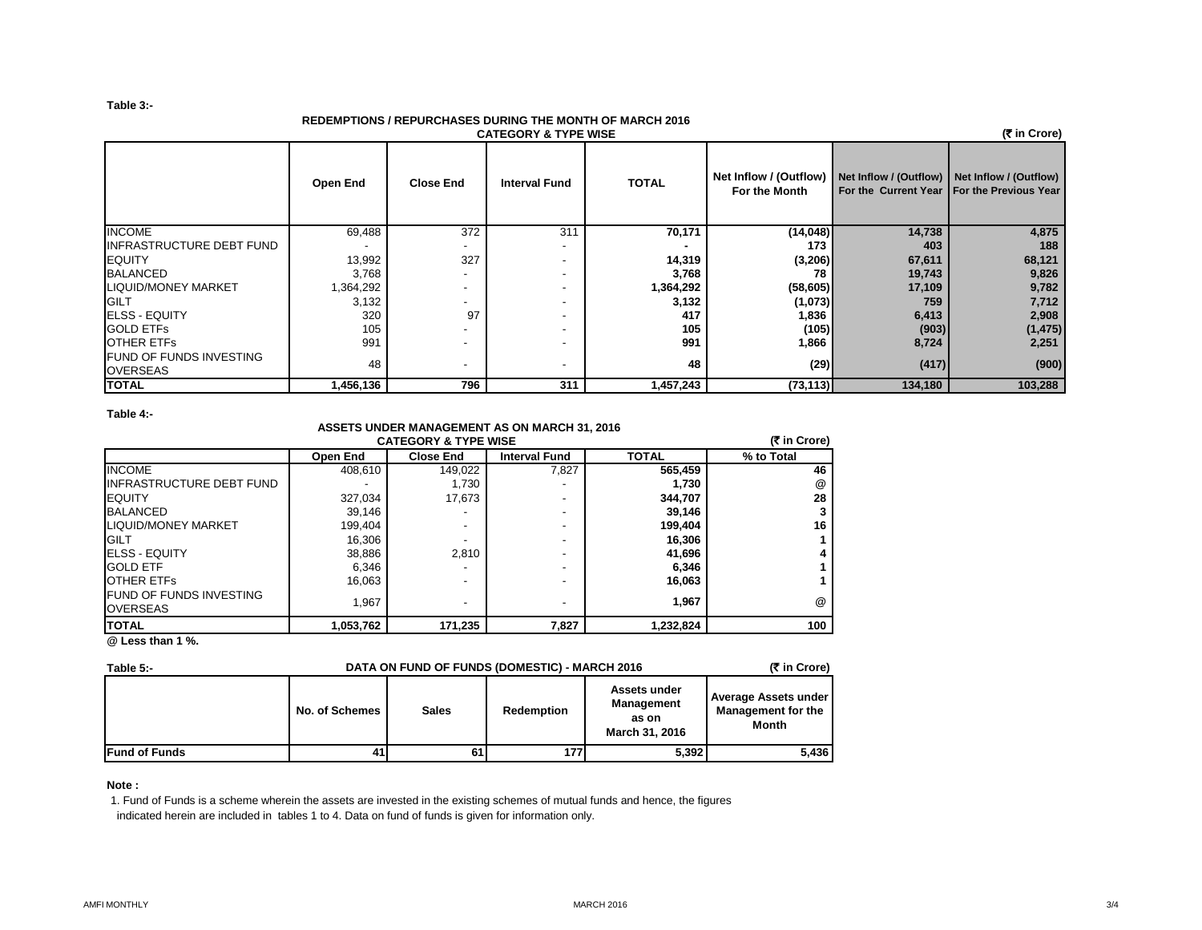### **Table 3:-**

## **REDEMPTIONS / REPURCHASES DURING THE MONTH OF MARCH 2016**

| (₹ in Crore)<br><b>CATEGORY &amp; TYPE WISE</b>   |           |                          |                          |              |                                         |                                               |                                              |  |  |
|---------------------------------------------------|-----------|--------------------------|--------------------------|--------------|-----------------------------------------|-----------------------------------------------|----------------------------------------------|--|--|
|                                                   | Open End  | <b>Close End</b>         | <b>Interval Fund</b>     | <b>TOTAL</b> | Net Inflow / (Outflow)<br>For the Month | Net Inflow / (Outflow) Net Inflow / (Outflow) | For the Current Year   For the Previous Year |  |  |
| <b>INCOME</b>                                     | 69,488    | 372                      | 311                      | 70,171       | (14,048)                                | 14,738                                        | 4,875                                        |  |  |
| <b>INFRASTRUCTURE DEBT FUND</b>                   |           | $\overline{\phantom{a}}$ |                          |              | 173                                     | 403                                           | 188                                          |  |  |
| <b>EQUITY</b>                                     | 13,992    | 327                      |                          | 14,319       | (3,206)                                 | 67,611                                        | 68,121                                       |  |  |
| <b>BALANCED</b>                                   | 3,768     | $\overline{\phantom{a}}$ | $\overline{\phantom{0}}$ | 3,768        | 78                                      | 19,743                                        | 9,826                                        |  |  |
| <b>LIQUID/MONEY MARKET</b>                        | 1,364,292 | $\overline{\phantom{a}}$ |                          | 1,364,292    | (58, 605)                               | 17,109                                        | 9,782                                        |  |  |
| <b>GILT</b>                                       | 3,132     | $\overline{\phantom{a}}$ |                          | 3,132        | (1,073)                                 | 759                                           | 7,712                                        |  |  |
| <b>ELSS - EQUITY</b>                              | 320       | 97                       |                          | 417          | 1,836                                   | 6,413                                         | 2,908                                        |  |  |
| <b>GOLD ETFS</b>                                  | 105       | $\overline{\phantom{a}}$ |                          | 105          | (105)                                   | (903)                                         | (1, 475)                                     |  |  |
| <b>OTHER ETFS</b>                                 | 991       | $\overline{\phantom{a}}$ |                          | 991          | 1,866                                   | 8,724                                         | 2,251                                        |  |  |
| <b>FUND OF FUNDS INVESTING</b><br><b>OVERSEAS</b> | 48        | $\overline{\phantom{a}}$ |                          | 48           | (29)                                    | (417)                                         | (900)                                        |  |  |
| <b>TOTAL</b>                                      | 1,456,136 | 796                      | 311                      | 1,457,243    | (73, 113)                               | 134,180                                       | 103,288                                      |  |  |

**Table 4:-**

## **ASSETS UNDER MANAGEMENT AS ON MARCH 31, 2016 CATEGORY & TYPE WISE**

| <b>CATEGORY &amp; TYPE WISE</b>                   |           |                  |                      |              |            |  |  |  |
|---------------------------------------------------|-----------|------------------|----------------------|--------------|------------|--|--|--|
|                                                   | Open End  | <b>Close End</b> | <b>Interval Fund</b> | <b>TOTAL</b> | % to Total |  |  |  |
| <b>INCOME</b>                                     | 408,610   | 149,022          | 7,827                | 565,459      | 46         |  |  |  |
| <b>INFRASTRUCTURE DEBT FUND</b>                   |           | 1,730            |                      | 1,730        | @          |  |  |  |
| <b>IEQUITY</b>                                    | 327,034   | 17,673           |                      | 344.707      | 28         |  |  |  |
| <b>BALANCED</b>                                   | 39.146    |                  |                      | 39,146       | 3          |  |  |  |
| <b>LIQUID/MONEY MARKET</b>                        | 199.404   |                  |                      | 199,404      | 16         |  |  |  |
| <b>IGILT</b>                                      | 16.306    |                  |                      | 16,306       |            |  |  |  |
| <b>IELSS - EQUITY</b>                             | 38,886    | 2.810            |                      | 41,696       | 4          |  |  |  |
| <b>GOLD ETF</b>                                   | 6,346     |                  |                      | 6,346        |            |  |  |  |
| <b>OTHER ETFS</b>                                 | 16.063    |                  |                      | 16,063       |            |  |  |  |
| <b>FUND OF FUNDS INVESTING</b><br><b>OVERSEAS</b> | 1.967     |                  |                      | 1.967        | @          |  |  |  |
| <b>ITOTAL</b><br>$\sim$ $\sim$ $\sim$ $\sim$      | 1,053,762 | 171,235          | 7,827                | 1,232,824    | 100        |  |  |  |

**@ Less than 1 %.**

| (₹ in Crore)<br>DATA ON FUND OF FUNDS (DOMESTIC) - MARCH 2016<br>Table 5:- |                |              |            |                                                              |                                                            |
|----------------------------------------------------------------------------|----------------|--------------|------------|--------------------------------------------------------------|------------------------------------------------------------|
|                                                                            | No. of Schemes | <b>Sales</b> | Redemption | Assets under<br><b>Management</b><br>as on<br>March 31, 2016 | <b>Average Assets under</b><br>Management for the<br>Month |
| <b>Fund of Funds</b>                                                       | 41             | 61           | 177        | 5,392                                                        | 5,436                                                      |

**Note :**

1. Fund of Funds is a scheme wherein the assets are invested in the existing schemes of mutual funds and hence, the figures indicated herein are included in tables 1 to 4. Data on fund of funds is given for information only.